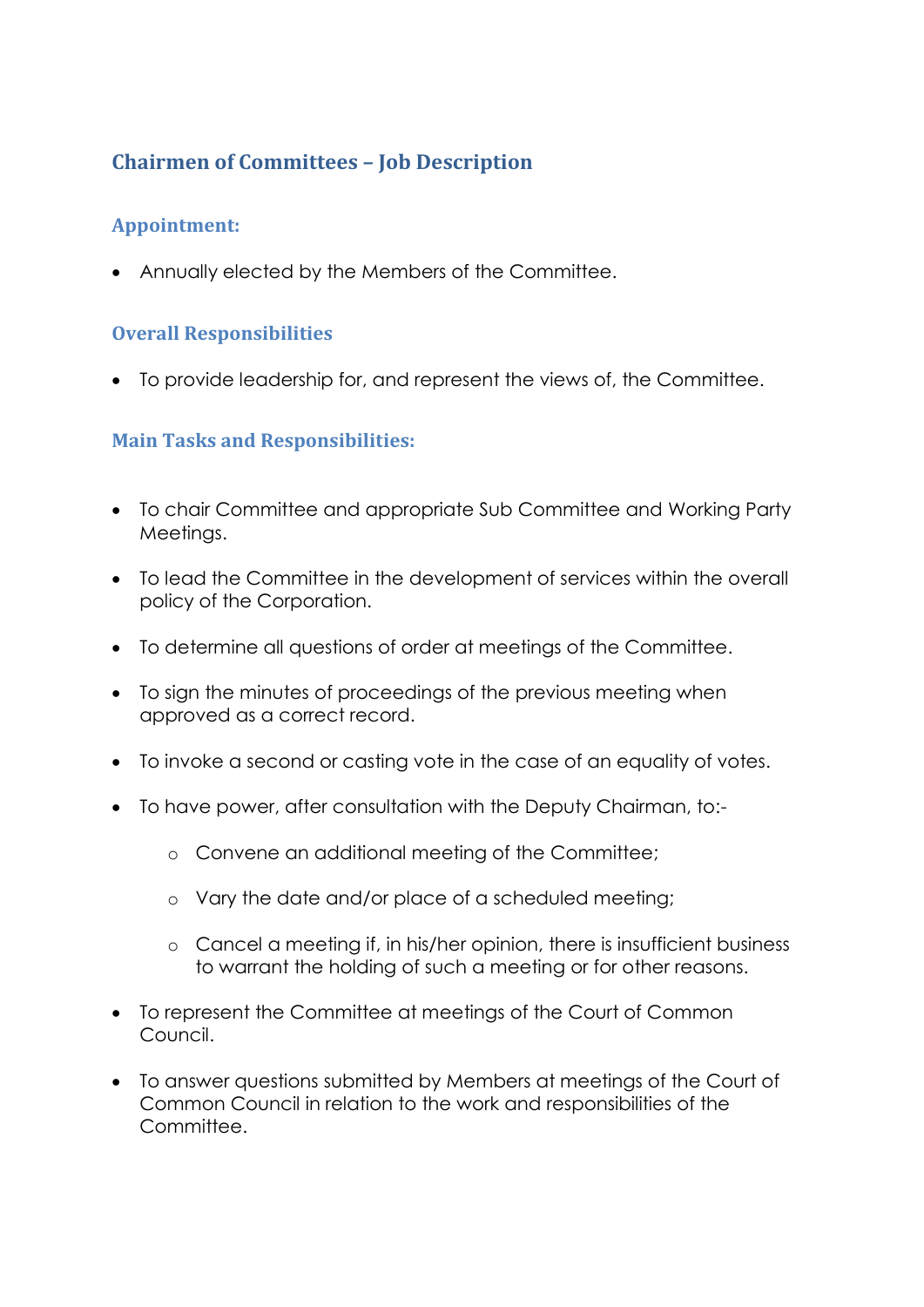## **Chairmen of Committees – Job Description**

### **Appointment:**

Annually elected by the Members of the Committee.

### **Overall Responsibilities**

To provide leadership for, and represent the views of, the Committee.

### **Main Tasks and Responsibilities:**

- To chair Committee and appropriate Sub Committee and Working Party Meetings.
- To lead the Committee in the development of services within the overall policy of the Corporation.
- To determine all questions of order at meetings of the Committee.
- To sign the minutes of proceedings of the previous meeting when approved as a correct record.
- To invoke a second or casting vote in the case of an equality of votes.
- To have power, after consultation with the Deputy Chairman, to:
	- o Convene an additional meeting of the Committee;
	- o Vary the date and/or place of a scheduled meeting;
	- o Cancel a meeting if, in his/her opinion, there is insufficient business to warrant the holding of such a meeting or for other reasons.
- To represent the Committee at meetings of the Court of Common Council.
- To answer questions submitted by Members at meetings of the Court of Common Council in relation to the work and responsibilities of the Committee.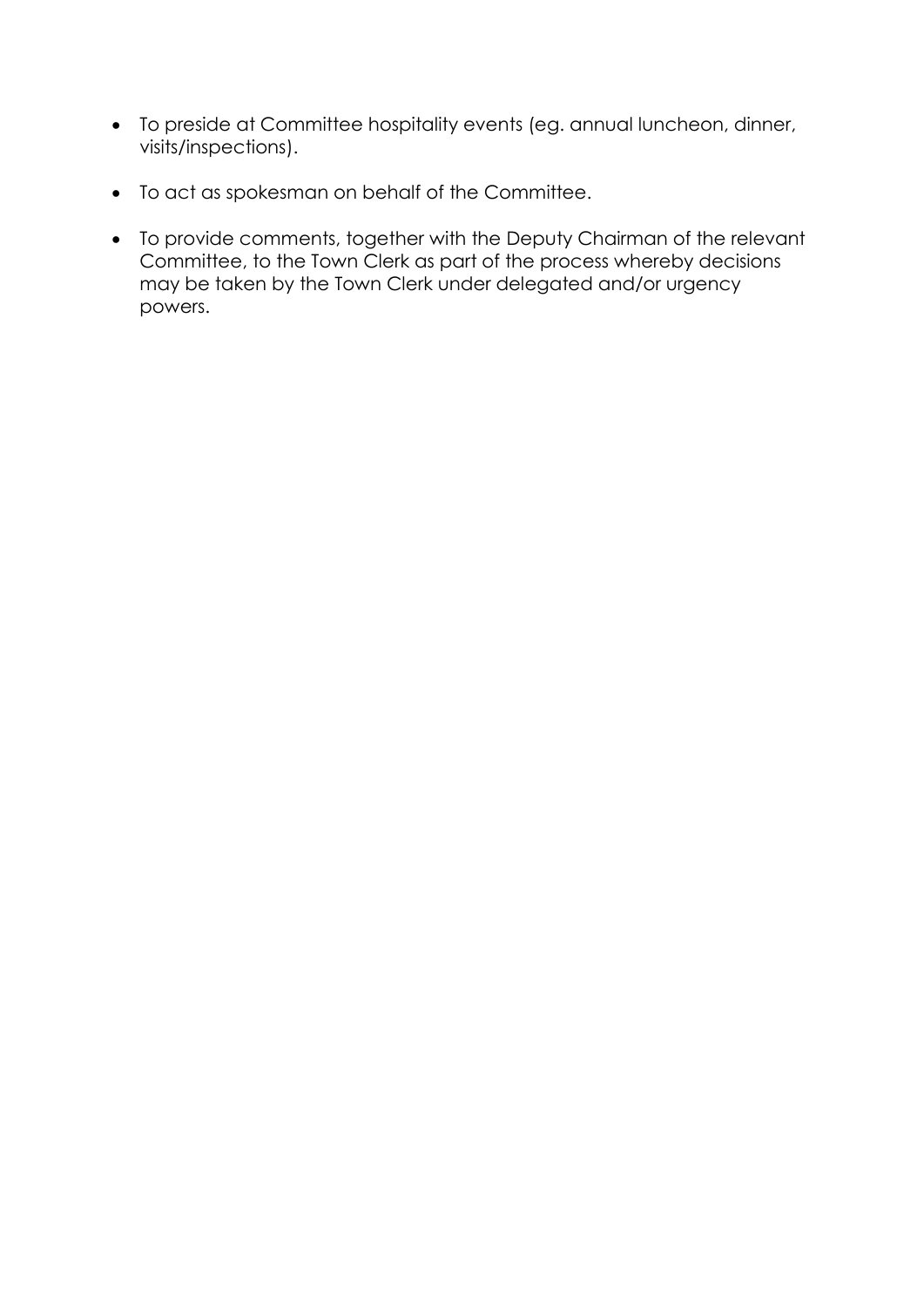- To preside at Committee hospitality events (eg. annual luncheon, dinner, visits/inspections).
- To act as spokesman on behalf of the Committee.
- To provide comments, together with the Deputy Chairman of the relevant Committee, to the Town Clerk as part of the process whereby decisions may be taken by the Town Clerk under delegated and/or urgency powers.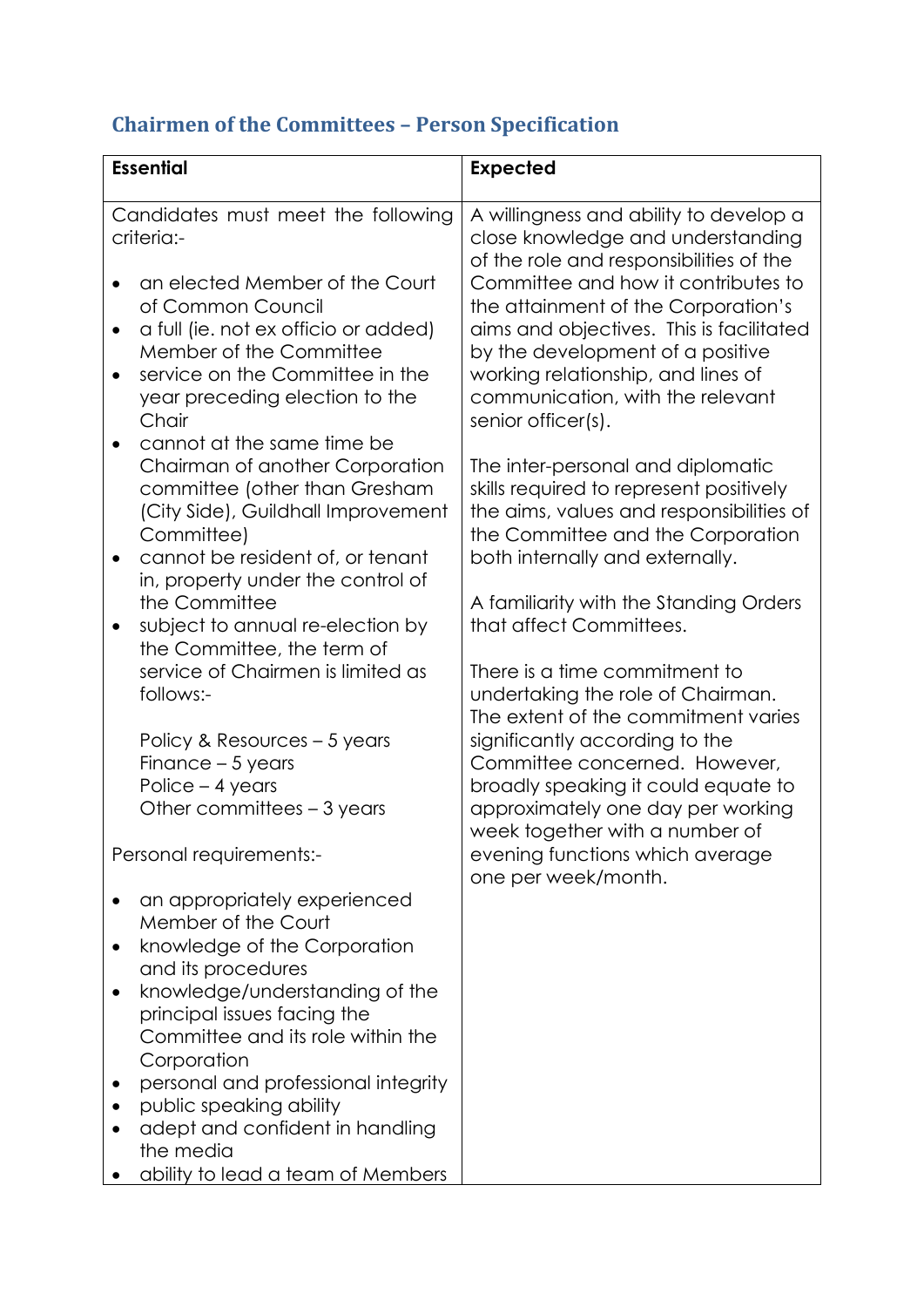# **Chairmen of the Committees – Person Specification**

| <b>Essential</b>                                                                                                                                                                                                                                                                                                                                                                                                                                                                                                                                                                                                                                                                                                                                                            | <b>Expected</b>                                                                                                                                                                                                                                                                                                                                                                                                                                                                                                                                                                                                                                                                                                                                                                                                                                                                                                           |
|-----------------------------------------------------------------------------------------------------------------------------------------------------------------------------------------------------------------------------------------------------------------------------------------------------------------------------------------------------------------------------------------------------------------------------------------------------------------------------------------------------------------------------------------------------------------------------------------------------------------------------------------------------------------------------------------------------------------------------------------------------------------------------|---------------------------------------------------------------------------------------------------------------------------------------------------------------------------------------------------------------------------------------------------------------------------------------------------------------------------------------------------------------------------------------------------------------------------------------------------------------------------------------------------------------------------------------------------------------------------------------------------------------------------------------------------------------------------------------------------------------------------------------------------------------------------------------------------------------------------------------------------------------------------------------------------------------------------|
| Candidates must meet the following<br>criteria:-<br>an elected Member of the Court<br>of Common Council<br>a full (ie. not ex officio or added)<br>$\bullet$<br>Member of the Committee<br>service on the Committee in the<br>$\bullet$<br>year preceding election to the<br>Chair<br>cannot at the same time be<br>Chairman of another Corporation<br>committee (other than Gresham<br>(City Side), Guildhall Improvement<br>Committee)<br>cannot be resident of, or tenant<br>in, property under the control of<br>the Committee<br>subject to annual re-election by<br>$\bullet$<br>the Committee, the term of<br>service of Chairmen is limited as<br>follows:-<br>Policy & Resources – 5 years<br>Finance $-5$ years<br>Police - 4 years<br>Other committees – 3 years | A willingness and ability to develop a<br>close knowledge and understanding<br>of the role and responsibilities of the<br>Committee and how it contributes to<br>the attainment of the Corporation's<br>aims and objectives. This is facilitated<br>by the development of a positive<br>working relationship, and lines of<br>communication, with the relevant<br>senior officer(s).<br>The inter-personal and diplomatic<br>skills required to represent positively<br>the aims, values and responsibilities of<br>the Committee and the Corporation<br>both internally and externally.<br>A familiarity with the Standing Orders<br>that affect Committees.<br>There is a time commitment to<br>undertaking the role of Chairman.<br>The extent of the commitment varies<br>significantly according to the<br>Committee concerned. However,<br>broadly speaking it could equate to<br>approximately one day per working |
| Personal requirements:-                                                                                                                                                                                                                                                                                                                                                                                                                                                                                                                                                                                                                                                                                                                                                     | week together with a number of<br>evening functions which average<br>one per week/month.                                                                                                                                                                                                                                                                                                                                                                                                                                                                                                                                                                                                                                                                                                                                                                                                                                  |
| an appropriately experienced<br>Member of the Court<br>knowledge of the Corporation<br>and its procedures<br>knowledge/understanding of the<br>٠<br>principal issues facing the<br>Committee and its role within the<br>Corporation<br>personal and professional integrity<br>public speaking ability<br>adept and confident in handling<br>the media<br>ability to lead a team of Members                                                                                                                                                                                                                                                                                                                                                                                  |                                                                                                                                                                                                                                                                                                                                                                                                                                                                                                                                                                                                                                                                                                                                                                                                                                                                                                                           |